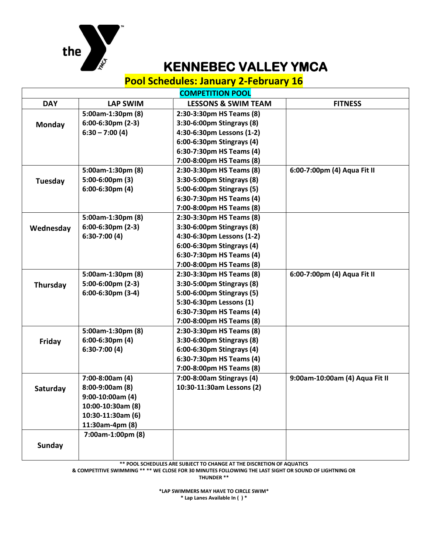

 $\mathsf I$ 

## **KENNEBEC VALLEY YMCA**

## **Pool Schedules: January 2-February 16**

**COMPETITION POOL**

|               |                        | <u>CUMPETITIUN FUUL</u>        |                                |
|---------------|------------------------|--------------------------------|--------------------------------|
| <b>DAY</b>    | <b>LAP SWIM</b>        | <b>LESSONS &amp; SWIM TEAM</b> | <b>FITNESS</b>                 |
|               | 5:00am-1:30pm (8)      | 2:30-3:30pm HS Teams (8)       |                                |
| Monday        | $6:00-6:30$ pm $(2-3)$ | 3:30-6:00pm Stingrays (8)      |                                |
|               | $6:30 - 7:00(4)$       | 4:30-6:30pm Lessons (1-2)      |                                |
|               |                        | 6:00-6:30pm Stingrays (4)      |                                |
|               |                        | 6:30-7:30pm HS Teams (4)       |                                |
|               |                        | 7:00-8:00pm HS Teams (8)       |                                |
|               | 5:00am-1:30pm (8)      | 2:30-3:30pm HS Teams (8)       | 6:00-7:00pm (4) Aqua Fit II    |
| Tuesday       | 5:00-6:00pm (3)        | 3:30-5:00pm Stingrays (8)      |                                |
|               | $6:00-6:30$ pm $(4)$   | 5:00-6:00pm Stingrays (5)      |                                |
|               |                        | 6:30-7:30pm HS Teams (4)       |                                |
|               |                        | 7:00-8:00pm HS Teams (8)       |                                |
|               | 5:00am-1:30pm (8)      | 2:30-3:30pm HS Teams (8)       |                                |
| Wednesday     | $6:00-6:30$ pm $(2-3)$ | 3:30-6:00pm Stingrays (8)      |                                |
|               | $6:30-7:00(4)$         | 4:30-6:30pm Lessons (1-2)      |                                |
|               |                        | 6:00-6:30pm Stingrays (4)      |                                |
|               |                        | 6:30-7:30pm HS Teams (4)       |                                |
|               |                        | 7:00-8:00pm HS Teams (8)       |                                |
|               | 5:00am-1:30pm (8)      | 2:30-3:30pm HS Teams (8)       | 6:00-7:00pm (4) Aqua Fit II    |
| Thursday      | 5:00-6:00pm (2-3)      | 3:30-5:00pm Stingrays (8)      |                                |
|               | 6:00-6:30pm (3-4)      | 5:00-6:00pm Stingrays (5)      |                                |
|               |                        | 5:30-6:30pm Lessons (1)        |                                |
|               |                        | 6:30-7:30pm HS Teams (4)       |                                |
|               |                        | 7:00-8:00pm HS Teams (8)       |                                |
|               | 5:00am-1:30pm (8)      | 2:30-3:30pm HS Teams (8)       |                                |
| Friday        | $6:00-6:30$ pm $(4)$   | 3:30-6:00pm Stingrays (8)      |                                |
|               | $6:30-7:00(4)$         | 6:00-6:30pm Stingrays (4)      |                                |
|               |                        | 6:30-7:30pm HS Teams (4)       |                                |
|               |                        | 7:00-8:00pm HS Teams (8)       |                                |
|               | 7:00-8:00am (4)        | 7:00-8:00am Stingrays (4)      | 9:00am-10:00am (4) Aqua Fit II |
| Saturday      | 8:00-9:00am (8)        | 10:30-11:30am Lessons (2)      |                                |
|               | $9:00-10:00am(4)$      |                                |                                |
|               | 10:00-10:30am (8)      |                                |                                |
|               | 10:30-11:30am (6)      |                                |                                |
|               | 11:30am-4pm (8)        |                                |                                |
|               | 7:00am-1:00pm (8)      |                                |                                |
| <b>Sunday</b> |                        |                                |                                |
|               |                        |                                |                                |

**\*\* POOL SCHEDULES ARE SUBJECT TO CHANGE AT THE DISCRETION OF AQUATICS**

**& COMPETITIVE SWIMMING \*\* \*\* WE CLOSE FOR 30 MINUTES FOLLOWING THE LAST SIGHT OR SOUND OF LIGHTNING OR** 

**THUNDER \*\***

**\*LAP SWIMMERS MAY HAVE TO CIRCLE SWIM\* \* Lap Lanes Available In ( ) \***